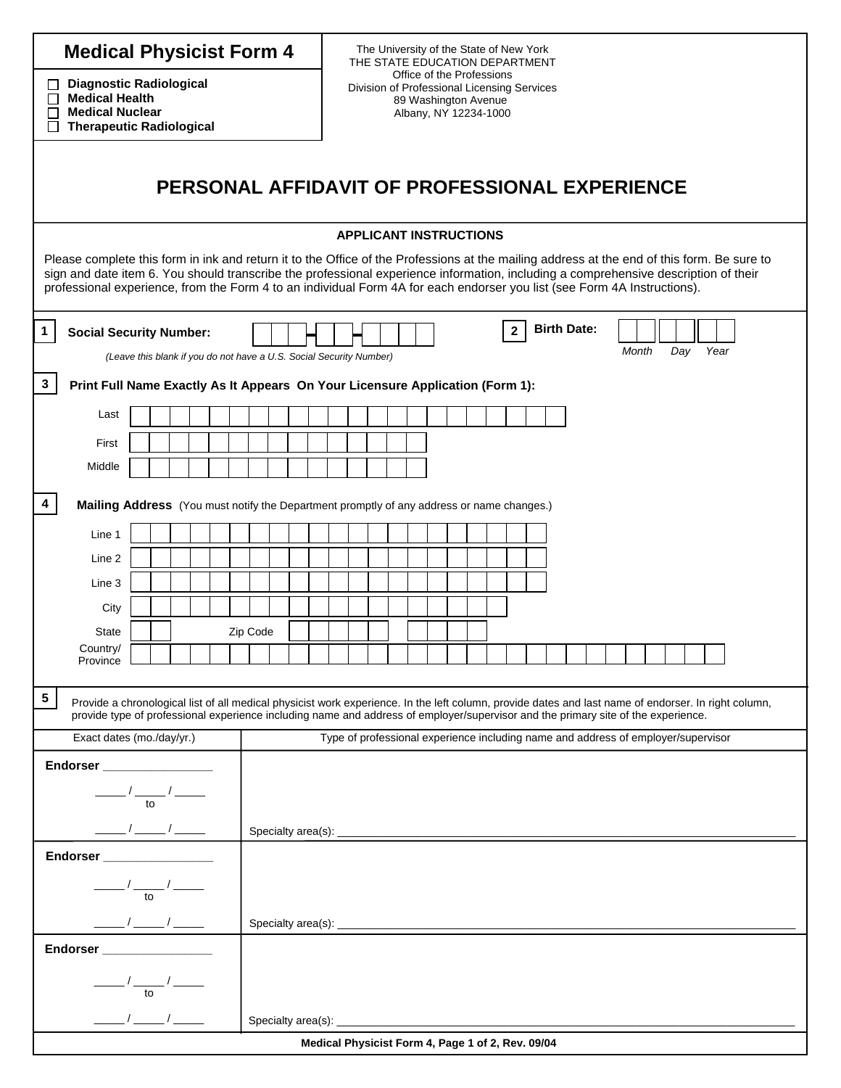| <b>Medical Physicist Form 4</b>                                                                                                                                                                                                                                                                                                                                                                                    |                                                                               |  |                                               |  |  |  |  |  |  | The University of the State of New York<br>THE STATE EDUCATION DEPARTMENT                                                 |                                                                                   |  |  |  |  |  |  |                                                   |  |  |  |  |                    |  |  |  |       |  |  |  |     |  |      |  |  |  |  |  |  |
|--------------------------------------------------------------------------------------------------------------------------------------------------------------------------------------------------------------------------------------------------------------------------------------------------------------------------------------------------------------------------------------------------------------------|-------------------------------------------------------------------------------|--|-----------------------------------------------|--|--|--|--|--|--|---------------------------------------------------------------------------------------------------------------------------|-----------------------------------------------------------------------------------|--|--|--|--|--|--|---------------------------------------------------|--|--|--|--|--------------------|--|--|--|-------|--|--|--|-----|--|------|--|--|--|--|--|--|
| <b>Diagnostic Radiological</b><br>ப<br><b>Medical Health</b><br>□<br><b>Medical Nuclear</b><br>$\mathsf{L}$<br><b>Therapeutic Radiological</b><br>П                                                                                                                                                                                                                                                                |                                                                               |  |                                               |  |  |  |  |  |  | Office of the Professions<br>Division of Professional Licensing Services<br>89 Washington Avenue<br>Albany, NY 12234-1000 |                                                                                   |  |  |  |  |  |  |                                                   |  |  |  |  |                    |  |  |  |       |  |  |  |     |  |      |  |  |  |  |  |  |
|                                                                                                                                                                                                                                                                                                                                                                                                                    |                                                                               |  | PERSONAL AFFIDAVIT OF PROFESSIONAL EXPERIENCE |  |  |  |  |  |  |                                                                                                                           |                                                                                   |  |  |  |  |  |  |                                                   |  |  |  |  |                    |  |  |  |       |  |  |  |     |  |      |  |  |  |  |  |  |
|                                                                                                                                                                                                                                                                                                                                                                                                                    |                                                                               |  |                                               |  |  |  |  |  |  |                                                                                                                           |                                                                                   |  |  |  |  |  |  | <b>APPLICANT INSTRUCTIONS</b>                     |  |  |  |  |                    |  |  |  |       |  |  |  |     |  |      |  |  |  |  |  |  |
| Please complete this form in ink and return it to the Office of the Professions at the mailing address at the end of this form. Be sure to<br>sign and date item 6. You should transcribe the professional experience information, including a comprehensive description of their<br>professional experience, from the Form 4 to an individual Form 4A for each endorser you list (see Form 4A Instructions).      |                                                                               |  |                                               |  |  |  |  |  |  |                                                                                                                           |                                                                                   |  |  |  |  |  |  |                                                   |  |  |  |  |                    |  |  |  |       |  |  |  |     |  |      |  |  |  |  |  |  |
| $\mathbf 1$<br><b>Social Security Number:</b>                                                                                                                                                                                                                                                                                                                                                                      |                                                                               |  |                                               |  |  |  |  |  |  |                                                                                                                           |                                                                                   |  |  |  |  |  |  | $\overline{2}$                                    |  |  |  |  | <b>Birth Date:</b> |  |  |  |       |  |  |  |     |  |      |  |  |  |  |  |  |
| (Leave this blank if you do not have a U.S. Social Security Number)                                                                                                                                                                                                                                                                                                                                                |                                                                               |  |                                               |  |  |  |  |  |  |                                                                                                                           |                                                                                   |  |  |  |  |  |  |                                                   |  |  |  |  |                    |  |  |  | Month |  |  |  | Day |  | Year |  |  |  |  |  |  |
| $\mathbf{3}$                                                                                                                                                                                                                                                                                                                                                                                                       | Print Full Name Exactly As It Appears On Your Licensure Application (Form 1): |  |                                               |  |  |  |  |  |  |                                                                                                                           |                                                                                   |  |  |  |  |  |  |                                                   |  |  |  |  |                    |  |  |  |       |  |  |  |     |  |      |  |  |  |  |  |  |
|                                                                                                                                                                                                                                                                                                                                                                                                                    |                                                                               |  |                                               |  |  |  |  |  |  |                                                                                                                           |                                                                                   |  |  |  |  |  |  |                                                   |  |  |  |  |                    |  |  |  |       |  |  |  |     |  |      |  |  |  |  |  |  |
| Last                                                                                                                                                                                                                                                                                                                                                                                                               |                                                                               |  |                                               |  |  |  |  |  |  |                                                                                                                           |                                                                                   |  |  |  |  |  |  |                                                   |  |  |  |  |                    |  |  |  |       |  |  |  |     |  |      |  |  |  |  |  |  |
| First                                                                                                                                                                                                                                                                                                                                                                                                              |                                                                               |  |                                               |  |  |  |  |  |  |                                                                                                                           |                                                                                   |  |  |  |  |  |  |                                                   |  |  |  |  |                    |  |  |  |       |  |  |  |     |  |      |  |  |  |  |  |  |
| Middle                                                                                                                                                                                                                                                                                                                                                                                                             |                                                                               |  |                                               |  |  |  |  |  |  |                                                                                                                           |                                                                                   |  |  |  |  |  |  |                                                   |  |  |  |  |                    |  |  |  |       |  |  |  |     |  |      |  |  |  |  |  |  |
| 4<br>Mailing Address (You must notify the Department promptly of any address or name changes.)                                                                                                                                                                                                                                                                                                                     |                                                                               |  |                                               |  |  |  |  |  |  |                                                                                                                           |                                                                                   |  |  |  |  |  |  |                                                   |  |  |  |  |                    |  |  |  |       |  |  |  |     |  |      |  |  |  |  |  |  |
| Line 1                                                                                                                                                                                                                                                                                                                                                                                                             |                                                                               |  |                                               |  |  |  |  |  |  |                                                                                                                           |                                                                                   |  |  |  |  |  |  |                                                   |  |  |  |  |                    |  |  |  |       |  |  |  |     |  |      |  |  |  |  |  |  |
| Line 2                                                                                                                                                                                                                                                                                                                                                                                                             |                                                                               |  |                                               |  |  |  |  |  |  |                                                                                                                           |                                                                                   |  |  |  |  |  |  |                                                   |  |  |  |  |                    |  |  |  |       |  |  |  |     |  |      |  |  |  |  |  |  |
| Line 3                                                                                                                                                                                                                                                                                                                                                                                                             |                                                                               |  |                                               |  |  |  |  |  |  |                                                                                                                           |                                                                                   |  |  |  |  |  |  |                                                   |  |  |  |  |                    |  |  |  |       |  |  |  |     |  |      |  |  |  |  |  |  |
| City                                                                                                                                                                                                                                                                                                                                                                                                               |                                                                               |  |                                               |  |  |  |  |  |  |                                                                                                                           |                                                                                   |  |  |  |  |  |  |                                                   |  |  |  |  |                    |  |  |  |       |  |  |  |     |  |      |  |  |  |  |  |  |
| <b>State</b><br>Zip Code                                                                                                                                                                                                                                                                                                                                                                                           |                                                                               |  |                                               |  |  |  |  |  |  |                                                                                                                           |                                                                                   |  |  |  |  |  |  |                                                   |  |  |  |  |                    |  |  |  |       |  |  |  |     |  |      |  |  |  |  |  |  |
| Country/<br>Province                                                                                                                                                                                                                                                                                                                                                                                               |                                                                               |  |                                               |  |  |  |  |  |  |                                                                                                                           |                                                                                   |  |  |  |  |  |  |                                                   |  |  |  |  |                    |  |  |  |       |  |  |  |     |  |      |  |  |  |  |  |  |
|                                                                                                                                                                                                                                                                                                                                                                                                                    |                                                                               |  |                                               |  |  |  |  |  |  |                                                                                                                           |                                                                                   |  |  |  |  |  |  |                                                   |  |  |  |  |                    |  |  |  |       |  |  |  |     |  |      |  |  |  |  |  |  |
| $5\phantom{.0}$<br>Provide a chronological list of all medical physicist work experience. In the left column, provide dates and last name of endorser. In right column,<br>provide type of professional experience including name and address of employer/supervisor and the primary site of the experience.                                                                                                       |                                                                               |  |                                               |  |  |  |  |  |  |                                                                                                                           |                                                                                   |  |  |  |  |  |  |                                                   |  |  |  |  |                    |  |  |  |       |  |  |  |     |  |      |  |  |  |  |  |  |
|                                                                                                                                                                                                                                                                                                                                                                                                                    | Exact dates (mo./day/yr.)                                                     |  |                                               |  |  |  |  |  |  |                                                                                                                           | Type of professional experience including name and address of employer/supervisor |  |  |  |  |  |  |                                                   |  |  |  |  |                    |  |  |  |       |  |  |  |     |  |      |  |  |  |  |  |  |
| Endorser __________________                                                                                                                                                                                                                                                                                                                                                                                        |                                                                               |  |                                               |  |  |  |  |  |  |                                                                                                                           |                                                                                   |  |  |  |  |  |  |                                                   |  |  |  |  |                    |  |  |  |       |  |  |  |     |  |      |  |  |  |  |  |  |
|                                                                                                                                                                                                                                                                                                                                                                                                                    |                                                                               |  |                                               |  |  |  |  |  |  |                                                                                                                           |                                                                                   |  |  |  |  |  |  |                                                   |  |  |  |  |                    |  |  |  |       |  |  |  |     |  |      |  |  |  |  |  |  |
| $\frac{1}{\sqrt{1-\frac{1}{10}}}\frac{1}{\sqrt{1-\frac{1}{10}}}\frac{1}{\sqrt{1-\frac{1}{10}}}\frac{1}{\sqrt{1-\frac{1}{10}}}\frac{1}{\sqrt{1-\frac{1}{10}}}\frac{1}{\sqrt{1-\frac{1}{10}}}\frac{1}{\sqrt{1-\frac{1}{10}}}\frac{1}{\sqrt{1-\frac{1}{10}}}\frac{1}{\sqrt{1-\frac{1}{10}}}\frac{1}{\sqrt{1-\frac{1}{10}}}\frac{1}{\sqrt{1-\frac{1}{10}}}\frac{1}{\sqrt{1-\frac{1}{10}}}\frac{1}{\sqrt{1-\frac{1}{10$ |                                                                               |  |                                               |  |  |  |  |  |  |                                                                                                                           |                                                                                   |  |  |  |  |  |  |                                                   |  |  |  |  |                    |  |  |  |       |  |  |  |     |  |      |  |  |  |  |  |  |
|                                                                                                                                                                                                                                                                                                                                                                                                                    |                                                                               |  |                                               |  |  |  |  |  |  |                                                                                                                           |                                                                                   |  |  |  |  |  |  |                                                   |  |  |  |  |                    |  |  |  |       |  |  |  |     |  |      |  |  |  |  |  |  |
| Endorser ___________________                                                                                                                                                                                                                                                                                                                                                                                       |                                                                               |  |                                               |  |  |  |  |  |  |                                                                                                                           |                                                                                   |  |  |  |  |  |  |                                                   |  |  |  |  |                    |  |  |  |       |  |  |  |     |  |      |  |  |  |  |  |  |
|                                                                                                                                                                                                                                                                                                                                                                                                                    |                                                                               |  |                                               |  |  |  |  |  |  |                                                                                                                           |                                                                                   |  |  |  |  |  |  |                                                   |  |  |  |  |                    |  |  |  |       |  |  |  |     |  |      |  |  |  |  |  |  |
| $\frac{1}{\sqrt{10}}$<br>$\underbrace{\hspace{1.5cm}} I \underline{\hspace{1.5cm}} I \underline{\hspace{1.5cm}} I \underline{\hspace{1.5cm}}$                                                                                                                                                                                                                                                                      |                                                                               |  |                                               |  |  |  |  |  |  |                                                                                                                           |                                                                                   |  |  |  |  |  |  |                                                   |  |  |  |  |                    |  |  |  |       |  |  |  |     |  |      |  |  |  |  |  |  |
| Endorser ___________________                                                                                                                                                                                                                                                                                                                                                                                       |                                                                               |  |                                               |  |  |  |  |  |  |                                                                                                                           |                                                                                   |  |  |  |  |  |  |                                                   |  |  |  |  |                    |  |  |  |       |  |  |  |     |  |      |  |  |  |  |  |  |
| $ \frac{1}{\text{to}}$ $\frac{1}{\text{to}}$                                                                                                                                                                                                                                                                                                                                                                       |                                                                               |  |                                               |  |  |  |  |  |  |                                                                                                                           |                                                                                   |  |  |  |  |  |  |                                                   |  |  |  |  |                    |  |  |  |       |  |  |  |     |  |      |  |  |  |  |  |  |
| $\frac{\frac{1}{2}}{2}$                                                                                                                                                                                                                                                                                                                                                                                            |                                                                               |  |                                               |  |  |  |  |  |  |                                                                                                                           |                                                                                   |  |  |  |  |  |  |                                                   |  |  |  |  |                    |  |  |  |       |  |  |  |     |  |      |  |  |  |  |  |  |
|                                                                                                                                                                                                                                                                                                                                                                                                                    |                                                                               |  |                                               |  |  |  |  |  |  |                                                                                                                           |                                                                                   |  |  |  |  |  |  | Medical Physicist Form 4, Page 1 of 2, Rev. 09/04 |  |  |  |  |                    |  |  |  |       |  |  |  |     |  |      |  |  |  |  |  |  |
|                                                                                                                                                                                                                                                                                                                                                                                                                    |                                                                               |  |                                               |  |  |  |  |  |  |                                                                                                                           |                                                                                   |  |  |  |  |  |  |                                                   |  |  |  |  |                    |  |  |  |       |  |  |  |     |  |      |  |  |  |  |  |  |